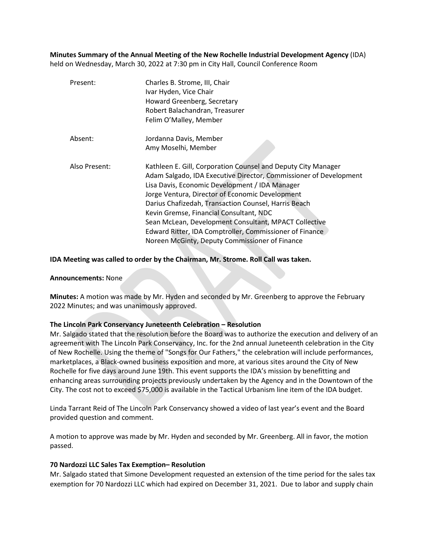**Minutes Summary of the Annual Meeting of the New Rochelle Industrial Development Agency** (IDA) held on Wednesday, March 30, 2022 at 7:30 pm in City Hall, Council Conference Room

| Present:      | Charles B. Strome, III, Chair<br>Ivar Hyden, Vice Chair<br>Howard Greenberg, Secretary<br>Robert Balachandran, Treasurer<br>Felim O'Malley, Member                                                                                                                                                                                                                                                                                                                                                               |
|---------------|------------------------------------------------------------------------------------------------------------------------------------------------------------------------------------------------------------------------------------------------------------------------------------------------------------------------------------------------------------------------------------------------------------------------------------------------------------------------------------------------------------------|
| Absent:       | Jordanna Davis, Member<br>Amy Moselhi, Member                                                                                                                                                                                                                                                                                                                                                                                                                                                                    |
| Also Present: | Kathleen E. Gill, Corporation Counsel and Deputy City Manager<br>Adam Salgado, IDA Executive Director, Commissioner of Development<br>Lisa Davis, Economic Development / IDA Manager<br>Jorge Ventura, Director of Economic Development<br>Darius Chafizedah, Transaction Counsel, Harris Beach<br>Kevin Gremse, Financial Consultant, NDC<br>Sean McLean, Development Consultant, MPACT Collective<br>Edward Ritter, IDA Comptroller, Commissioner of Finance<br>Noreen McGinty, Deputy Commissioner of Finance |

## **IDA Meeting was called to order by the Chairman, Mr. Strome. Roll Call was taken.**

#### **Announcements:** None

**Minutes:** A motion was made by Mr. Hyden and seconded by Mr. Greenberg to approve the February 2022 Minutes; and was unanimously approved.

# **The Lincoln Park Conservancy Juneteenth Celebration – Resolution**

Mr. Salgado stated that the resolution before the Board was to authorize the execution and delivery of an agreement with The Lincoln Park Conservancy, Inc. for the 2nd annual Juneteenth celebration in the City of New Rochelle. Using the theme of "Songs for Our Fathers," the celebration will include performances, marketplaces, a Black-owned business exposition and more, at various sites around the City of New Rochelle for five days around June 19th. This event supports the IDA's mission by benefitting and enhancing areas surrounding projects previously undertaken by the Agency and in the Downtown of the City. The cost not to exceed \$75,000 is available in the Tactical Urbanism line item of the IDA budget.

Linda Tarrant Reid of The Lincoln Park Conservancy showed a video of last year's event and the Board provided question and comment.

A motion to approve was made by Mr. Hyden and seconded by Mr. Greenberg. All in favor, the motion passed.

#### **70 Nardozzi LLC Sales Tax Exemption– Resolution**

Mr. Salgado stated that Simone Development requested an extension of the time period for the sales tax exemption for 70 Nardozzi LLC which had expired on December 31, 2021. Due to labor and supply chain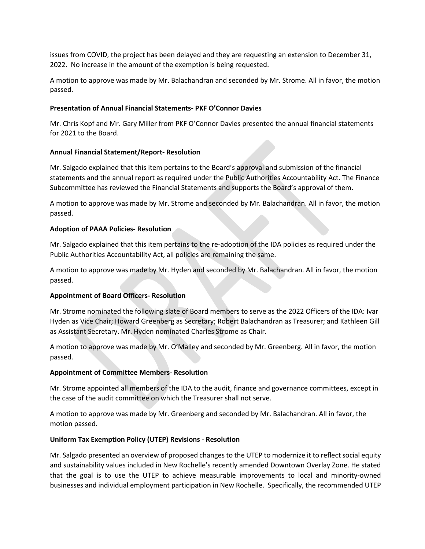issues from COVID, the project has been delayed and they are requesting an extension to December 31, 2022. No increase in the amount of the exemption is being requested.

A motion to approve was made by Mr. Balachandran and seconded by Mr. Strome. All in favor, the motion passed.

## **Presentation of Annual Financial Statements- PKF O'Connor Davies**

Mr. Chris Kopf and Mr. Gary Miller from PKF O'Connor Davies presented the annual financial statements for 2021 to the Board.

## **Annual Financial Statement/Report- Resolution**

Mr. Salgado explained that this item pertains to the Board's approval and submission of the financial statements and the annual report as required under the Public Authorities Accountability Act. The Finance Subcommittee has reviewed the Financial Statements and supports the Board's approval of them.

A motion to approve was made by Mr. Strome and seconded by Mr. Balachandran. All in favor, the motion passed.

## **Adoption of PAAA Policies- Resolution**

Mr. Salgado explained that this item pertains to the re-adoption of the IDA policies as required under the Public Authorities Accountability Act, all policies are remaining the same.

A motion to approve was made by Mr. Hyden and seconded by Mr. Balachandran. All in favor, the motion passed.

# **Appointment of Board Officers- Resolution**

Mr. Strome nominated the following slate of Board members to serve as the 2022 Officers of the IDA: Ivar Hyden as Vice Chair; Howard Greenberg as Secretary; Robert Balachandran as Treasurer; and Kathleen Gill as Assistant Secretary. Mr. Hyden nominated Charles Strome as Chair.

A motion to approve was made by Mr. O'Malley and seconded by Mr. Greenberg. All in favor, the motion passed.

#### **Appointment of Committee Members- Resolution**

Mr. Strome appointed all members of the IDA to the audit, finance and governance committees, except in the case of the audit committee on which the Treasurer shall not serve.

A motion to approve was made by Mr. Greenberg and seconded by Mr. Balachandran. All in favor, the motion passed.

#### **Uniform Tax Exemption Policy (UTEP) Revisions - Resolution**

Mr. Salgado presented an overview of proposed changes to the UTEP to modernize it to reflect social equity and sustainability values included in New Rochelle's recently amended Downtown Overlay Zone. He stated that the goal is to use the UTEP to achieve measurable improvements to local and minority-owned businesses and individual employment participation in New Rochelle. Specifically, the recommended UTEP